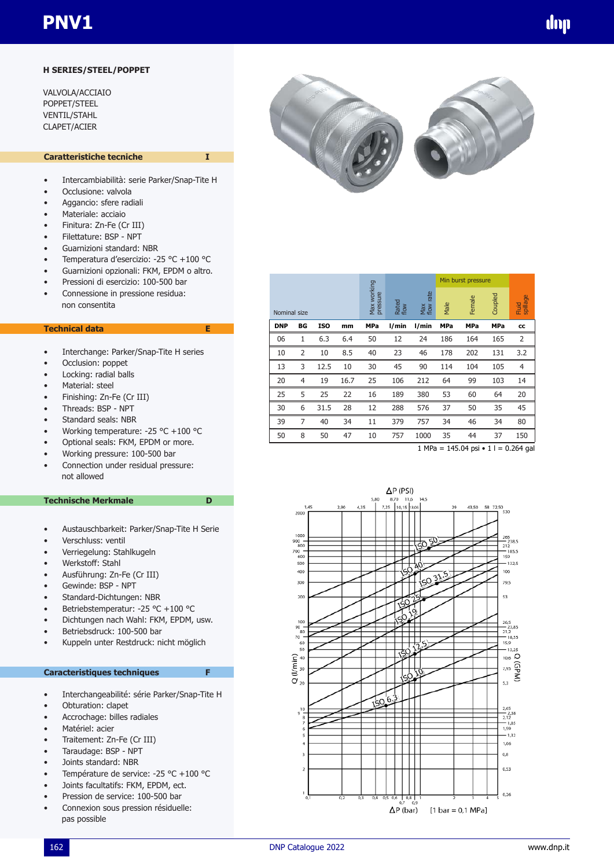### **H SERIES/STEEL/POPPET**

VALVOLA/ACCIAIO POPPET/STEEL VENTIL/STAHL CLAPET/ACIER

### **Caratteristiche tecniche**

- Intercambiabilità: serie Parker/Snap-Tite H
- Occlusione: valvola
- Aggancio: sfere radiali
- Materiale: acciaio
- Finitura: Zn-Fe (Cr III)
- Filettature: BSP NPT
- Guarnizioni standard: NBR
- Temperatura d'esercizio: -25 °C +100 °C
- Guarnizioni opzionali: FKM, EPDM o altro.
- Pressioni di esercizio: 100-500 bar
- Connessione in pressione residua: non consentita

#### **Technical data E**

- Interchange: Parker/Snap-Tite H series
- Occlusion: poppet
- Locking: radial balls
- Material: steel
- Finishing: Zn-Fe (Cr III)
- Threads: BSP NPT
- Standard seals: NBR
- Working temperature: -25 °C +100 °C
- Optional seals: FKM, EPDM or more.
- Working pressure: 100-500 bar
- Connection under residual pressure: not allowed

#### **Technische Merkmale** D

- Austauschbarkeit: Parker/Snap-Tite H Serie
- Verschluss: ventil
- Verriegelung: Stahlkugeln
- Werkstoff: Stahl
- Ausführung: Zn-Fe (Cr III)
- Gewinde: BSP NPT
- Standard-Dichtungen: NBR
- Betriebstemperatur: -25 °C +100 °C
- Dichtungen nach Wahl: FKM, EPDM, usw.
- Betriebsdruck: 100-500 bar
- Kuppeln unter Restdruck: nicht möglich

### **Caracteristiques techniques F**

- Interchangeabilité: série Parker/Snap-Tite H
- Obturation: clapet
- Accrochage: billes radiales
- Matériel: acier
- Traitement: Zn-Fe (Cr III)
- Taraudage: BSP NPT
- Joints standard: NBR
- Température de service: -25 °C +100 °C
- Joints facultatifs: FKM, EPDM, ect.
- Pression de service: 100-500 bar
- Connexion sous pression résiduelle: pas possible



|            |                |            |      |            |                         |       | Min burst pressure |                     |            |                |         |                   |
|------------|----------------|------------|------|------------|-------------------------|-------|--------------------|---------------------|------------|----------------|---------|-------------------|
|            | Nominal size   |            |      |            | Max working<br>pressure |       | Rated<br>flow      | rate<br>Max<br>flow | Male       | Female         | Coupled | spillage<br>Fluid |
| <b>DNP</b> | BG             | <b>ISO</b> | mm   | <b>MPa</b> | l/min                   | l/min | <b>MPa</b>         | <b>MPa</b>          | <b>MPa</b> | cc             |         |                   |
| 06         | 1              | 6.3        | 6.4  | 50         | 12                      | 24    | 186                | 164                 | 165        | 2              |         |                   |
| 10         | $\overline{2}$ | 10         | 8.5  | 40         | 23                      | 46    | 178                | 202                 | 131        | 3.2            |         |                   |
| 13         | 3              | 12.5       | 10   | 30         | 45                      | 90    | 114                | 104                 | 105        | $\overline{4}$ |         |                   |
| 20         | 4              | 19         | 16.7 | 25         | 106                     | 212   | 64                 | 99                  | 103        | 14             |         |                   |
| 25         | 5              | 25         | 22   | 16         | 189                     | 380   | 53                 | 60                  | 64         | 20             |         |                   |
| 30         | 6              | 31.5       | 28   | 12         | 288                     | 576   | 37                 | 50                  | 35         | 45             |         |                   |
| 39         | $\overline{7}$ | 40         | 34   | 11         | 379                     | 757   | 34                 | 46                  | 34         | 80             |         |                   |
| 50         | 8              | 50         | 47   | 10         | 757                     | 1000  | 35                 | 44                  | 37         | 150            |         |                   |

 $1 \text{ MPa} = 145.04 \text{ psi} \cdot 1 = 0.264 \text{ gal}$ 

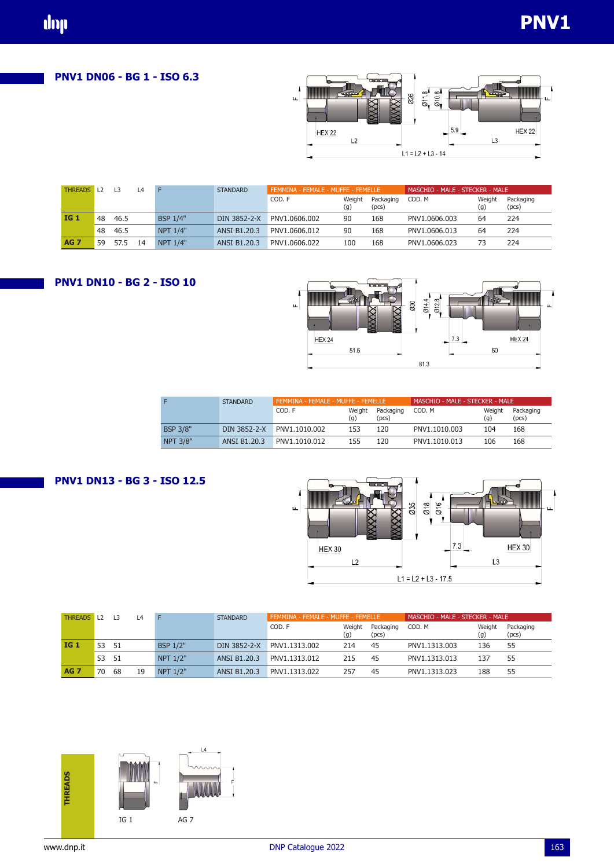**PNV1 DN06 - BG 1 - ISO 6.3**

dop



| <b>THREADS</b> |    | L <sub>3</sub> | $-4$ |                 | <b>STANDARD</b>     | FEMMINA - FEMALE - MUFFE - FEMELLE |               |                    | MASCHIO - MALE - STECKER - MALE |               |                    |  |
|----------------|----|----------------|------|-----------------|---------------------|------------------------------------|---------------|--------------------|---------------------------------|---------------|--------------------|--|
|                |    |                |      |                 |                     | COD. F                             | Weight<br>(g) | Packaging<br>(pcs) | COD, M                          | Weight<br>(g) | Packaging<br>(pcs) |  |
| <b>IG 1</b>    | 48 | 46.5           |      | <b>BSP 1/4"</b> | DIN 3852-2-X        | PNV1.0606.002                      | 90            | 168                | PNV1.0606.003                   | 64            | 224                |  |
|                | 48 | 46.5           |      | <b>NPT 1/4"</b> | ANSI B1.20.3        | PNV1.0606.012                      | 90            | 168                | PNV1.0606.013                   | 64            | 224                |  |
| <b>AG 7</b>    | 59 | 57.5           | 14   | <b>NPT 1/4"</b> | <b>ANSI B1.20.3</b> | PNV1.0606.022                      | 100           | 168                | PNV1.0606.023                   | 73            | 224                |  |





|                 | <b>STANDARD</b> | FEMMINA - FEMALE - MUFFE - FEMELLE |               |                    | MASCHIO - MALE - STECKER - MALE |               |                    |  |  |
|-----------------|-----------------|------------------------------------|---------------|--------------------|---------------------------------|---------------|--------------------|--|--|
|                 |                 | COD. F                             | Weight<br>(g) | Packaging<br>(pcs) | COD, M                          | Weight<br>(g) | Packaging<br>(pcs) |  |  |
| <b>BSP 3/8"</b> | DIN 3852-2-X    | PNV1.1010.002                      | 153           | 120                | PNV1.1010.003                   | 104           | 168                |  |  |
| <b>NPT 3/8"</b> | ANSI B1.20.3    | PNV1.1010.012                      | 155           | 120                | PNV1.1010.013                   | 106           | 168                |  |  |

# **PNV1 DN13 - BG 3 - ISO 12.5**



| <b>THREADS</b> | $\perp$ 1.2 | $\overline{3}$ | $\overline{A}$ |                 | <b>STANDARD</b> |               | FEMMINA - FEMALE - MUFFE - FEMELLE |                    |               | MASCHIO - MALE - STECKER - MALE |                    |  |  |
|----------------|-------------|----------------|----------------|-----------------|-----------------|---------------|------------------------------------|--------------------|---------------|---------------------------------|--------------------|--|--|
|                |             |                |                |                 |                 | COD. F        | Weight<br>(g)                      | Packaging<br>(pcs) | COD, M        | Weight<br>(g)                   | Packaging<br>(pcs) |  |  |
| <b>IG 1</b>    | 53          | -51            |                | <b>BSP 1/2"</b> | DIN 3852-2-X    | PNV1.1313.002 | 214                                | 45                 | PNV1.1313.003 | 136                             | 55                 |  |  |
|                | 53          | -51            |                | NPT 1/2"        | ANSI B1.20.3    | PNV1.1313.012 | 215                                | 45                 | PNV1.1313.013 | 137                             | 55                 |  |  |
| <b>AG 7</b>    | 70          | 68             | 19             | NPT 1/2"        | ANSI B1.20.3    | PNV1.1313.022 | 257                                | 45                 | PNV1.1313.023 | 188                             | 55                 |  |  |

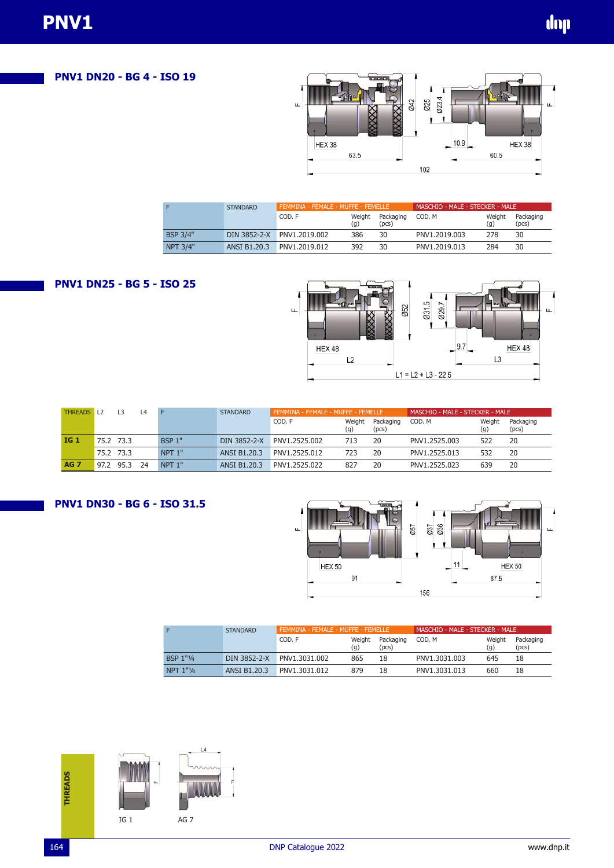**PNV1 DN20 - BG 4 - ISO 19**



|                 | <b>STANDARD</b>     | FEMMINA - FEMALE - MUFFE - FEMELLE |               |                    | MASCHIO - MALE - STECKER - MALE |               |                    |  |  |
|-----------------|---------------------|------------------------------------|---------------|--------------------|---------------------------------|---------------|--------------------|--|--|
|                 |                     | COD. F                             | Weight<br>(q) | Packaging<br>(pcs) | COD, M                          | Weight<br>(q) | Packaging<br>(pcs) |  |  |
| <b>BSP 3/4"</b> |                     | DIN 3852-2-X PNV1.2019.002         | 386           | 30                 | PNV1.2019.003                   | 278           | 30                 |  |  |
| <b>NPT 3/4"</b> | <b>ANSI B1.20.3</b> | PNV1.2019.012                      | 392           | 30                 | PNV1.2019.013                   | 284           | 30                 |  |  |

### **PNV1 DN25 - BG 5 - ISO 25**



| <b>THREADS</b> |      | L3   | L <sub>4</sub> |               | <b>STANDARD</b> |               | FEMMINA - FEMALE - MUFFE - FEMELLE |                    |               | MASCHIO - MALE - STECKER - MALE |                    |  |  |
|----------------|------|------|----------------|---------------|-----------------|---------------|------------------------------------|--------------------|---------------|---------------------------------|--------------------|--|--|
|                |      |      |                |               |                 | COD. F        | Weight<br>(g)                      | Packaging<br>(pcs) | COD. M        | Weight<br>(g)                   | Packaging<br>(pcs) |  |  |
| <b>IG 1</b>    | 75.2 | 73.3 |                | <b>BSP 1"</b> | DIN 3852-2-X    | PNV1.2525.002 | 713                                | 20                 | PNV1.2525.003 | 522                             | 20                 |  |  |
|                | 75.2 | 73.3 |                | NPT 1"        | ANSI B1.20.3    | PNV1.2525.012 | 723                                | 20                 | PNV1.2525.013 | 532                             | 20                 |  |  |
| <b>AG 7</b>    | 97.2 | 95.3 | 74             | NPT 1"        | ANSI B1.20.3    | PNV1.2525.022 | 827                                | 20                 | PNV1.2525.023 | 639                             | 20                 |  |  |

# **PNV1 DN30 - BG 6 - ISO 31.5**



|                       | <b>STANDARD</b>     | FEMMINA - FEMALE - MUFFE - FEMELLE |        |           | MASCHIO - MALE - STECKER - MALE |        |           |  |
|-----------------------|---------------------|------------------------------------|--------|-----------|---------------------------------|--------|-----------|--|
|                       |                     | COD. F                             | Weight | Packaging | COD. M                          | Weight | Packaging |  |
|                       |                     |                                    | (g)    | (pcs)     |                                 | (g)    | (pcs)     |  |
| BSP 1"1/4             | DIN 3852-2-X        | PNV1.3031.002                      | 865    | 18        | PNV1.3031.003                   | 645    | 18        |  |
| $NPT 1"$ <sup>1</sup> | <b>ANSI B1.20.3</b> | PNV1.3031.012                      | 879    | 18        | PNV1.3031.013                   | 660    | 18        |  |

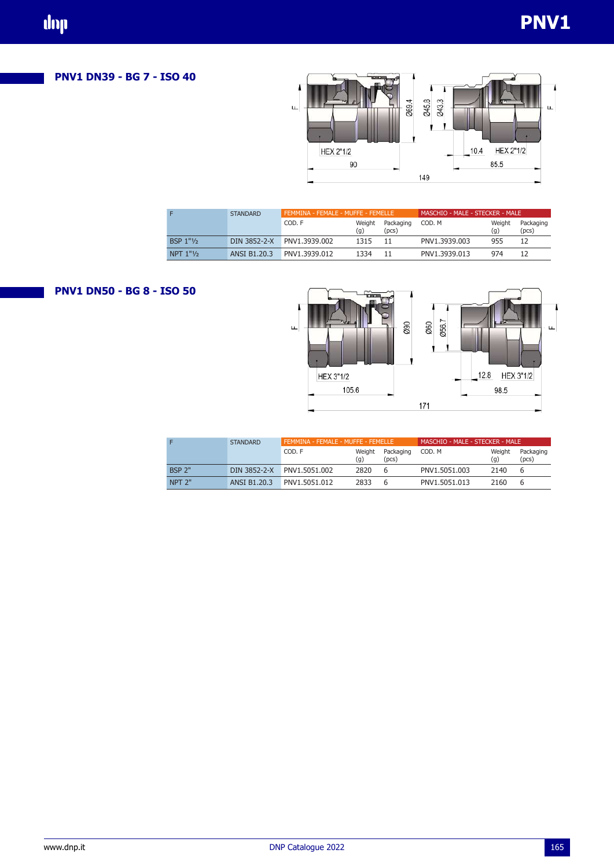## **PNV1 DN39 - BG 7 - ISO 40**



|             | <b>STANDARD</b> | FEMMINA - FEMALE - MUFFE - FEMELLE |               |                    | MASCHIO - MALE - STECKER - MALE |               |                    |  |  |
|-------------|-----------------|------------------------------------|---------------|--------------------|---------------------------------|---------------|--------------------|--|--|
|             |                 | COD. F                             | Weight<br>(g) | Packaging<br>(pcs) | COD. M                          | Weight<br>(q) | Packaging<br>(pcs) |  |  |
| BSP $1"1/2$ |                 | DIN 3852-2-X PNV1.3939.002         | 1315          | -11                | PNV1.3939.003                   | 955           | 12                 |  |  |
| NPT $1"1$   | ANSI B1.20.3    | PNV1.3939.012                      | 1334          |                    | PNV1.3939.013                   | 974           | 12                 |  |  |

# **PNV1 DN50 - BG 8 - ISO 50**



|                   | <b>STANDARD</b> | FEMMINA - FEMALE - MUFFE - FEMELLE |               |                    | MASCHIO - MALE - STECKER - MALE |               |                    |  |
|-------------------|-----------------|------------------------------------|---------------|--------------------|---------------------------------|---------------|--------------------|--|
|                   |                 | COD. F                             | Weight<br>(g) | Packaging<br>(pcs) | COD. M                          | Weight<br>(q) | Packaging<br>(pcs) |  |
| <b>BSP 2"</b>     | DIN 3852-2-X    | PNV1.5051.002                      | 2820          | b                  | PNV1.5051.003                   | 2140          |                    |  |
| NPT <sub>2"</sub> | ANSI B1.20.3    | PNV1.5051.012                      | 2833          | b                  | PNV1.5051.013                   | 2160          |                    |  |